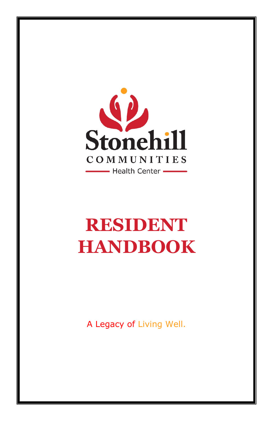

# **RESIDENT HANDBOOK**

A Legacy of Living Well.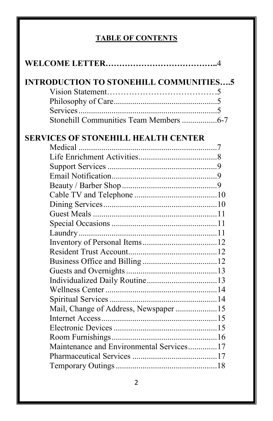## **TABLE OF CONTENTS**

| <b>INTRODUCTION TO STONEHILL COMMUNITIES5</b> |  |
|-----------------------------------------------|--|
|                                               |  |
|                                               |  |
|                                               |  |
| Stonehill Communities Team Members 6-7        |  |
| <b>SERVICES OF STONEHILL HEALTH CENTER</b>    |  |
|                                               |  |
|                                               |  |
|                                               |  |
|                                               |  |
|                                               |  |
|                                               |  |
|                                               |  |
|                                               |  |
|                                               |  |
|                                               |  |
|                                               |  |
|                                               |  |
|                                               |  |
|                                               |  |
|                                               |  |
|                                               |  |
|                                               |  |
| Mail, Change of Address, Newspaper 15         |  |
|                                               |  |
|                                               |  |
|                                               |  |
| Maintenance and Environmental Services17      |  |
|                                               |  |
|                                               |  |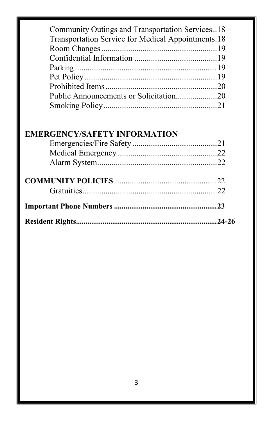| Community Outings and Transportation Services18    |
|----------------------------------------------------|
| Transportation Service for Medical Appointments.18 |
|                                                    |
|                                                    |
|                                                    |
|                                                    |
|                                                    |
| Public Announcements or Solicitation20             |
|                                                    |
| <b>EMERGENCY/SAFETY INFORMATION</b>                |
|                                                    |
|                                                    |
|                                                    |
|                                                    |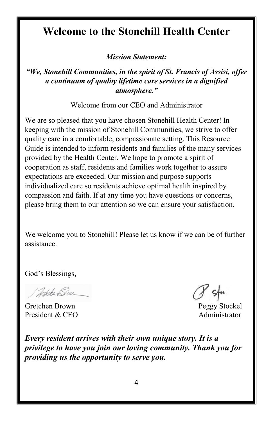# **Welcome to the Stonehill Health Center**

*Mission Statement:*

#### *"We, Stonehill Communities, in the spirit of St. Francis of Assisi, offer a continuum of quality lifetime care services in a dignified atmosphere."*

Welcome from our CEO and Administrator

We are so pleased that you have chosen Stonehill Health Center! In keeping with the mission of Stonehill Communities, we strive to offer quality care in a comfortable, compassionate setting. This Resource Guide is intended to inform residents and families of the many services provided by the Health Center. We hope to promote a spirit of cooperation as staff, residents and families work together to assure expectations are exceeded. Our mission and purpose supports individualized care so residents achieve optimal health inspired by compassion and faith. If at any time you have questions or concerns, please bring them to our attention so we can ensure your satisfaction.

We welcome you to Stonehill! Please let us know if we can be of further assistance.

God's Blessings,

North Box

Gretchen Brown Peggy Stockel President & CEO Administrator

*Every resident arrives with their own unique story. It is a privilege to have you join our loving community. Thank you for providing us the opportunity to serve you.*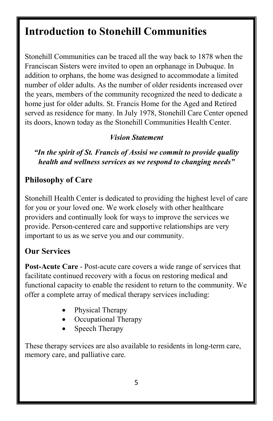# **Introduction to Stonehill Communities**

Stonehill Communities can be traced all the way back to 1878 when the Franciscan Sisters were invited to open an orphanage in Dubuque. In addition to orphans, the home was designed to accommodate a limited number of older adults. As the number of older residents increased over the years, members of the community recognized the need to dedicate a home just for older adults. St. Francis Home for the Aged and Retired served as residence for many. In July 1978, Stonehill Care Center opened its doors, known today as the Stonehill Communities Health Center.

#### *Vision Statement*

*"In the spirit of St. Francis of Assisi we commit to provide quality health and wellness services as we respond to changing needs"*

#### **Philosophy of Care**

Stonehill Health Center is dedicated to providing the highest level of care for you or your loved one. We work closely with other healthcare providers and continually look for ways to improve the services we provide. Person-centered care and supportive relationships are very important to us as we serve you and our community.

#### **Our Services**

**Post-Acute Care** - Post-acute care covers a wide range of services that facilitate continued recovery with a focus on restoring medical and functional capacity to enable the resident to return to the community. We offer a complete array of medical therapy services including:

- Physical Therapy
- Occupational Therapy
- Speech Therapy

These therapy services are also available to residents in long-term care, memory care, and palliative care.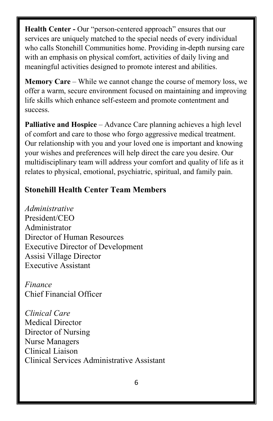**Health Center -** Our "person-centered approach" ensures that our services are uniquely matched to the special needs of every individual who calls Stonehill Communities home. Providing in-depth nursing care with an emphasis on physical comfort, activities of daily living and meaningful activities designed to promote interest and abilities.

**Memory Care** – While we cannot change the course of memory loss, we offer a warm, secure environment focused on maintaining and improving life skills which enhance self-esteem and promote contentment and success.

**Palliative and Hospice** – Advance Care planning achieves a high level of comfort and care to those who forgo aggressive medical treatment. Our relationship with you and your loved one is important and knowing your wishes and preferences will help direct the care you desire. Our multidisciplinary team will address your comfort and quality of life as it relates to physical, emotional, psychiatric, spiritual, and family pain.

#### **Stonehill Health Center Team Members**

*Administrative* President/CEO Administrator Director of Human Resources Executive Director of Development Assisi Village Director Executive Assistant

*Finance*  Chief Financial Officer

*Clinical Care*  Medical Director Director of Nursing Nurse Managers Clinical Liaison Clinical Services Administrative Assistant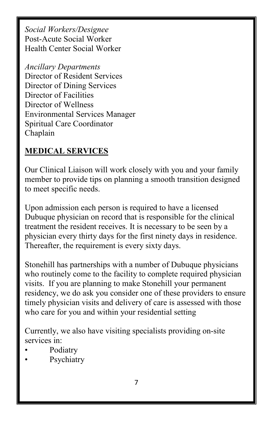*Social Workers/Designee* Post-Acute Social Worker Health Center Social Worker

*Ancillary Departments* Director of Resident Services Director of Dining Services Director of Facilities Director of Wellness Environmental Services Manager Spiritual Care Coordinator Chaplain

#### **MEDICAL SERVICES**

Our Clinical Liaison will work closely with you and your family member to provide tips on planning a smooth transition designed to meet specific needs.

Upon admission each person is required to have a licensed Dubuque physician on record that is responsible for the clinical treatment the resident receives. It is necessary to be seen by a physician every thirty days for the first ninety days in residence. Thereafter, the requirement is every sixty days.

Stonehill has partnerships with a number of Dubuque physicians who routinely come to the facility to complete required physician visits. If you are planning to make Stonehill your permanent residency, we do ask you consider one of these providers to ensure timely physician visits and delivery of care is assessed with those who care for you and within your residential setting

Currently, we also have visiting specialists providing on-site services in:

- Podiatry
- **Psychiatry**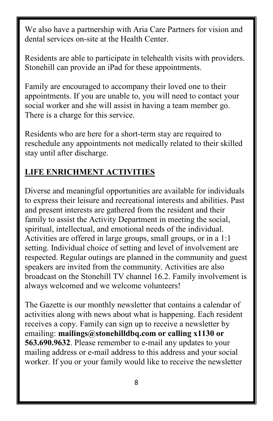We also have a partnership with Aria Care Partners for vision and dental services on-site at the Health Center.

Residents are able to participate in telehealth visits with providers. Stonehill can provide an iPad for these appointments.

Family are encouraged to accompany their loved one to their appointments. If you are unable to, you will need to contact your social worker and she will assist in having a team member go. There is a charge for this service.

Residents who are here for a short-term stay are required to reschedule any appointments not medically related to their skilled stay until after discharge.

#### **LIFE ENRICHMENT ACTIVITIES**

Diverse and meaningful opportunities are available for individuals to express their leisure and recreational interests and abilities. Past and present interests are gathered from the resident and their family to assist the Activity Department in meeting the social, spiritual, intellectual, and emotional needs of the individual. Activities are offered in large groups, small groups, or in a 1:1 setting. Individual choice of setting and level of involvement are respected. Regular outings are planned in the community and guest speakers are invited from the community. Activities are also broadcast on the Stonehill TV channel 16.2. Family involvement is always welcomed and we welcome volunteers!

The Gazette is our monthly newsletter that contains a calendar of activities along with news about what is happening. Each resident receives a copy. Family can sign up to receive a newsletter by emailing: **mailings@stonehilldbq.com or calling x1130 or 563.690.9632**. Please remember to e-mail any updates to your mailing address or e-mail address to this address and your social worker. If you or your family would like to receive the newsletter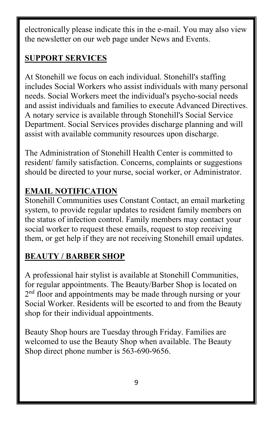electronically please indicate this in the e-mail. You may also view the newsletter on our web page under News and Events.

#### **SUPPORT SERVICES**

At Stonehill we focus on each individual. Stonehill's staffing includes Social Workers who assist individuals with many personal needs. Social Workers meet the individual's psycho-social needs and assist individuals and families to execute Advanced Directives. A notary service is available through Stonehill's Social Service Department. Social Services provides discharge planning and will assist with available community resources upon discharge.

The Administration of Stonehill Health Center is committed to resident/ family satisfaction. Concerns, complaints or suggestions should be directed to your nurse, social worker, or Administrator.

## **EMAIL NOTIFICATION**

Stonehill Communities uses Constant Contact, an email marketing system, to provide regular updates to resident family members on the status of infection control. Family members may contact your social worker to request these emails, request to stop receiving them, or get help if they are not receiving Stonehill email updates.

## **BEAUTY / BARBER SHOP**

A professional hair stylist is available at Stonehill Communities, for regular appointments. The Beauty/Barber Shop is located on  $2<sup>nd</sup>$  floor and appointments may be made through nursing or your Social Worker. Residents will be escorted to and from the Beauty shop for their individual appointments.

Beauty Shop hours are Tuesday through Friday. Families are welcomed to use the Beauty Shop when available. The Beauty Shop direct phone number is 563-690-9656.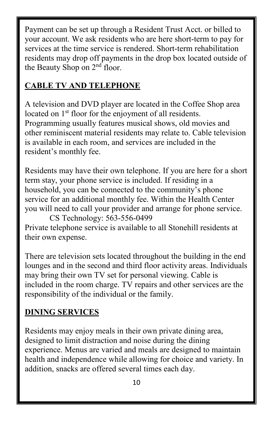Payment can be set up through a Resident Trust Acct. or billed to your account. We ask residents who are here short-term to pay for services at the time service is rendered. Short-term rehabilitation residents may drop off payments in the drop box located outside of the Beauty Shop on 2<sup>nd</sup> floor.

#### **CABLE TV AND TELEPHONE**

A television and DVD player are located in the Coffee Shop area located on 1<sup>st</sup> floor for the enjoyment of all residents. Programming usually features musical shows, old movies and other reminiscent material residents may relate to. Cable television is available in each room, and services are included in the resident's monthly fee.

Residents may have their own telephone. If you are here for a short term stay, your phone service is included. If residing in a household, you can be connected to the community's phone service for an additional monthly fee. Within the Health Center you will need to call your provider and arrange for phone service. CS Technology: 563-556-0499

Private telephone service is available to all Stonehill residents at their own expense.

There are television sets located throughout the building in the end lounges and in the second and third floor activity areas. Individuals may bring their own TV set for personal viewing. Cable is included in the room charge. TV repairs and other services are the responsibility of the individual or the family.

#### **DINING SERVICES**

Residents may enjoy meals in their own private dining area, designed to limit distraction and noise during the dining experience. Menus are varied and meals are designed to maintain health and independence while allowing for choice and variety. In addition, snacks are offered several times each day.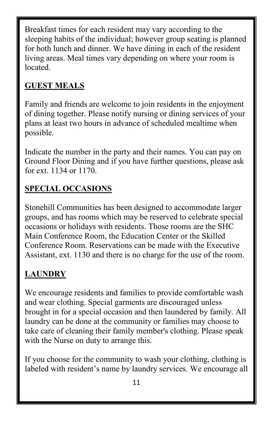Breakfast times for each resident may vary according to the sleeping habits of the individual; however group seating is planned for both lunch and dinner. We have dining in each of the resident living areas. Meal times vary depending on where your room is located.

## **GUEST MEALS**

Family and friends are welcome to join residents in the enjoyment of dining together. Please notify nursing or dining services of your plans at least two hours in advance of scheduled mealtime when possible.

Indicate the number in the party and their names. You can pay on Ground Floor Dining and if you have further questions, please ask for ext. 1134 or 1170.

#### **SPECIAL OCCASIONS**

Stonehill Communities has been designed to accommodate larger groups, and has rooms which may be reserved to celebrate special occasions or holidays with residents. Those rooms are the SHC Main Conference Room, the Education Center or the Skilled Conference Room. Reservations can be made with the Executive Assistant, ext. 1130 and there is no charge for the use of the room.

## **LAUNDRY**

We encourage residents and families to provide comfortable wash and wear clothing. Special garments are discouraged unless brought in for a special occasion and then laundered by family. All laundry can be done at the community or families may choose to take care of cleaning their family member's clothing. Please speak with the Nurse on duty to arrange this.

If you choose for the community to wash your clothing, clothing is labeled with resident's name by laundry services. We encourage all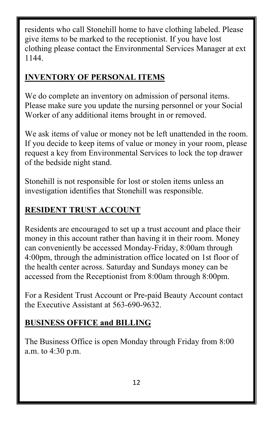residents who call Stonehill home to have clothing labeled. Please give items to be marked to the receptionist. If you have lost clothing please contact the Environmental Services Manager at ext 1144.

#### **INVENTORY OF PERSONAL ITEMS**

We do complete an inventory on admission of personal items. Please make sure you update the nursing personnel or your Social Worker of any additional items brought in or removed.

We ask items of value or money not be left unattended in the room. If you decide to keep items of value or money in your room, please request a key from Environmental Services to lock the top drawer of the bedside night stand.

Stonehill is not responsible for lost or stolen items unless an investigation identifies that Stonehill was responsible.

## **RESIDENT TRUST ACCOUNT**

Residents are encouraged to set up a trust account and place their money in this account rather than having it in their room. Money can conveniently be accessed Monday-Friday, 8:00am through 4:00pm, through the administration office located on 1st floor of the health center across. Saturday and Sundays money can be accessed from the Receptionist from 8:00am through 8:00pm.

For a Resident Trust Account or Pre-paid Beauty Account contact the Executive Assistant at 563-690-9632.

## **BUSINESS OFFICE and BILLING**

The Business Office is open Monday through Friday from 8:00 a.m. to 4:30 p.m.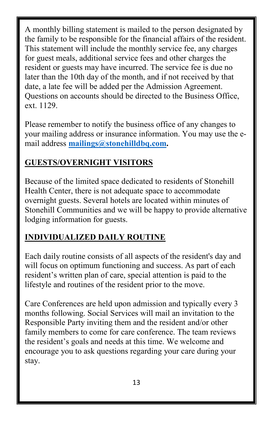A monthly billing statement is mailed to the person designated by the family to be responsible for the financial affairs of the resident. This statement will include the monthly service fee, any charges for guest meals, additional service fees and other charges the resident or guests may have incurred. The service fee is due no later than the 10th day of the month, and if not received by that date, a late fee will be added per the Admission Agreement. Questions on accounts should be directed to the Business Office, ext. 1129.

Please remember to notify the business office of any changes to your mailing address or insurance information. You may use the email address **[mailings@stonehilldbq.com.](mailto:mailings@stonehilldbq.com)** 

#### **GUESTS/OVERNIGHT VISITORS**

Because of the limited space dedicated to residents of Stonehill Health Center, there is not adequate space to accommodate overnight guests. Several hotels are located within minutes of Stonehill Communities and we will be happy to provide alternative lodging information for guests.

#### **INDIVIDUALIZED DAILY ROUTINE**

Each daily routine consists of all aspects of the resident's day and will focus on optimum functioning and success. As part of each resident's written plan of care, special attention is paid to the lifestyle and routines of the resident prior to the move.

Care Conferences are held upon admission and typically every 3 months following. Social Services will mail an invitation to the Responsible Party inviting them and the resident and/or other family members to come for care conference. The team reviews the resident's goals and needs at this time. We welcome and encourage you to ask questions regarding your care during your stay.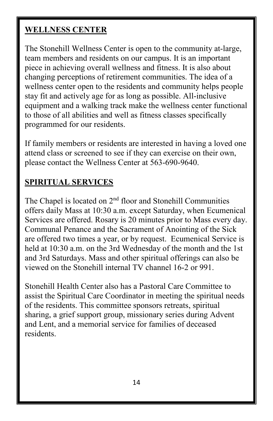#### **WELLNESS CENTER**

The Stonehill Wellness Center is open to the community at-large, team members and residents on our campus. It is an important piece in achieving overall wellness and fitness. It is also about changing perceptions of retirement communities. The idea of a wellness center open to the residents and community helps people stay fit and actively age for as long as possible. All-inclusive equipment and a walking track make the wellness center functional to those of all abilities and well as fitness classes specifically programmed for our residents.

If family members or residents are interested in having a loved one attend class or screened to see if they can exercise on their own, please contact the Wellness Center at 563-690-9640.

#### **SPIRITUAL SERVICES**

The Chapel is located on 2nd floor and Stonehill Communities offers daily Mass at 10:30 a.m. except Saturday, when Ecumenical Services are offered. Rosary is 20 minutes prior to Mass every day. Communal Penance and the Sacrament of Anointing of the Sick are offered two times a year, or by request. Ecumenical Service is held at 10:30 a.m. on the 3rd Wednesday of the month and the 1st and 3rd Saturdays. Mass and other spiritual offerings can also be viewed on the Stonehill internal TV channel 16-2 or 991.

Stonehill Health Center also has a Pastoral Care Committee to assist the Spiritual Care Coordinator in meeting the spiritual needs of the residents. This committee sponsors retreats, spiritual sharing, a grief support group, missionary series during Advent and Lent, and a memorial service for families of deceased residents.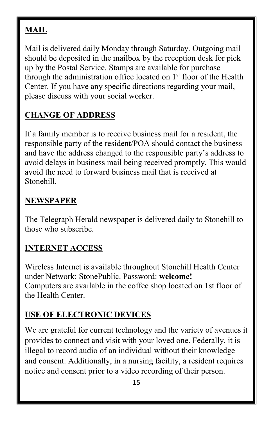## **MAIL**

Mail is delivered daily Monday through Saturday. Outgoing mail should be deposited in the mailbox by the reception desk for pick up by the Postal Service. Stamps are available for purchase through the administration office located on  $1<sup>st</sup>$  floor of the Health Center. If you have any specific directions regarding your mail, please discuss with your social worker.

## **CHANGE OF ADDRESS**

If a family member is to receive business mail for a resident, the responsible party of the resident/POA should contact the business and have the address changed to the responsible party's address to avoid delays in business mail being received promptly. This would avoid the need to forward business mail that is received at Stonehill.

## **NEWSPAPER**

The Telegraph Herald newspaper is delivered daily to Stonehill to those who subscribe.

## **INTERNET ACCESS**

Wireless Internet is available throughout Stonehill Health Center under Network: StonePublic. Password: **welcome!** Computers are available in the coffee shop located on 1st floor of the Health Center.

## **USE OF ELECTRONIC DEVICES**

We are grateful for current technology and the variety of avenues it provides to connect and visit with your loved one. Federally, it is illegal to record audio of an individual without their knowledge and consent. Additionally, in a nursing facility, a resident requires notice and consent prior to a video recording of their person.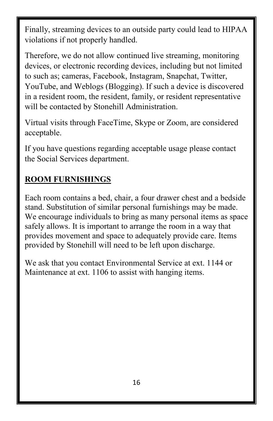Finally, streaming devices to an outside party could lead to HIPAA violations if not properly handled.

Therefore, we do not allow continued live streaming, monitoring devices, or electronic recording devices, including but not limited to such as; cameras, Facebook, Instagram, Snapchat, Twitter, YouTube, and Weblogs (Blogging). If such a device is discovered in a resident room, the resident, family, or resident representative will be contacted by Stonehill Administration.

Virtual visits through FaceTime, Skype or Zoom, are considered acceptable.

If you have questions regarding acceptable usage please contact the Social Services department.

## **ROOM FURNISHINGS**

Each room contains a bed, chair, a four drawer chest and a bedside stand. Substitution of similar personal furnishings may be made. We encourage individuals to bring as many personal items as space safely allows. It is important to arrange the room in a way that provides movement and space to adequately provide care. Items provided by Stonehill will need to be left upon discharge.

We ask that you contact Environmental Service at ext. 1144 or Maintenance at ext. 1106 to assist with hanging items.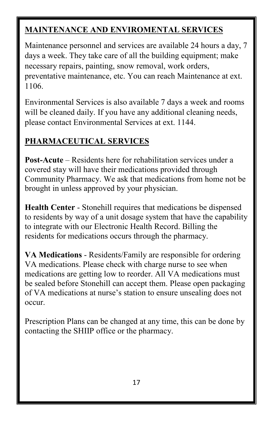## **MAINTENANCE AND ENVIROMENTAL SERVICES**

Maintenance personnel and services are available 24 hours a day, 7 days a week. They take care of all the building equipment; make necessary repairs, painting, snow removal, work orders, preventative maintenance, etc. You can reach Maintenance at ext. 1106.

Environmental Services is also available 7 days a week and rooms will be cleaned daily. If you have any additional cleaning needs, please contact Environmental Services at ext. 1144.

#### **PHARMACEUTICAL SERVICES**

**Post-Acute** – Residents here for rehabilitation services under a covered stay will have their medications provided through Community Pharmacy. We ask that medications from home not be brought in unless approved by your physician.

**Health Center** - Stonehill requires that medications be dispensed to residents by way of a unit dosage system that have the capability to integrate with our Electronic Health Record. Billing the residents for medications occurs through the pharmacy.

**VA Medications** - Residents/Family are responsible for ordering VA medications. Please check with charge nurse to see when medications are getting low to reorder. All VA medications must be sealed before Stonehill can accept them. Please open packaging of VA medications at nurse's station to ensure unsealing does not occur.

Prescription Plans can be changed at any time, this can be done by contacting the SHIIP office or the pharmacy.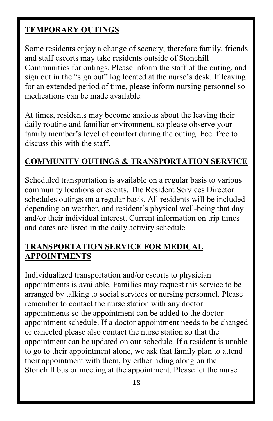#### **TEMPORARY OUTINGS**

Some residents enjoy a change of scenery; therefore family, friends and staff escorts may take residents outside of Stonehill Communities for outings. Please inform the staff of the outing, and sign out in the "sign out" log located at the nurse's desk. If leaving for an extended period of time, please inform nursing personnel so medications can be made available.

At times, residents may become anxious about the leaving their daily routine and familiar environment, so please observe your family member's level of comfort during the outing. Feel free to discuss this with the staff.

#### **COMMUNITY OUTINGS & TRANSPORTATION SERVICE**

Scheduled transportation is available on a regular basis to various community locations or events. The Resident Services Director schedules outings on a regular basis. All residents will be included depending on weather, and resident's physical well-being that day and/or their individual interest. Current information on trip times and dates are listed in the daily activity schedule.

#### **TRANSPORTATION SERVICE FOR MEDICAL APPOINTMENTS**

Individualized transportation and/or escorts to physician appointments is available. Families may request this service to be arranged by talking to social services or nursing personnel. Please remember to contact the nurse station with any doctor appointments so the appointment can be added to the doctor appointment schedule. If a doctor appointment needs to be changed or canceled please also contact the nurse station so that the appointment can be updated on our schedule. If a resident is unable to go to their appointment alone, we ask that family plan to attend their appointment with them, by either riding along on the Stonehill bus or meeting at the appointment. Please let the nurse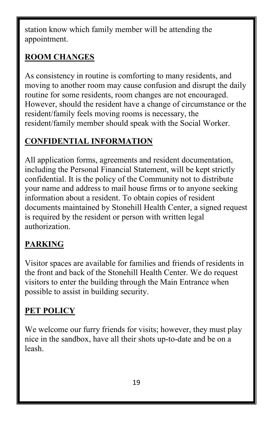station know which family member will be attending the appointment.

## **ROOM CHANGES**

As consistency in routine is comforting to many residents, and moving to another room may cause confusion and disrupt the daily routine for some residents, room changes are not encouraged. However, should the resident have a change of circumstance or the resident/family feels moving rooms is necessary, the resident/family member should speak with the Social Worker.

## **CONFIDENTIAL INFORMATION**

All application forms, agreements and resident documentation, including the Personal Financial Statement, will be kept strictly confidential. It is the policy of the Community not to distribute your name and address to mail house firms or to anyone seeking information about a resident. To obtain copies of resident documents maintained by Stonehill Health Center, a signed request is required by the resident or person with written legal authorization.

## **PARKING**

Visitor spaces are available for families and friends of residents in the front and back of the Stonehill Health Center. We do request visitors to enter the building through the Main Entrance when possible to assist in building security.

## **PET POLICY**

We welcome our furry friends for visits; however, they must play nice in the sandbox, have all their shots up-to-date and be on a leash.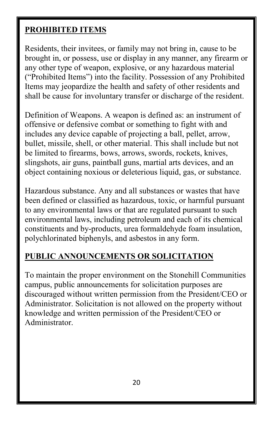#### **PROHIBITED ITEMS**

Residents, their invitees, or family may not bring in, cause to be brought in, or possess, use or display in any manner, any firearm or any other type of weapon, explosive, or any hazardous material ("Prohibited Items") into the facility. Possession of any Prohibited Items may jeopardize the health and safety of other residents and shall be cause for involuntary transfer or discharge of the resident.

Definition of Weapons. A weapon is defined as: an instrument of offensive or defensive combat or something to fight with and includes any device capable of projecting a ball, pellet, arrow, bullet, missile, shell, or other material. This shall include but not be limited to firearms, bows, arrows, swords, rockets, knives, slingshots, air guns, paintball guns, martial arts devices, and an object containing noxious or deleterious liquid, gas, or substance.

Hazardous substance. Any and all substances or wastes that have been defined or classified as hazardous, toxic, or harmful pursuant to any environmental laws or that are regulated pursuant to such environmental laws, including petroleum and each of its chemical constituents and by-products, urea formaldehyde foam insulation, polychlorinated biphenyls, and asbestos in any form.

#### **PUBLIC ANNOUNCEMENTS OR SOLICITATION**

To maintain the proper environment on the Stonehill Communities campus, public announcements for solicitation purposes are discouraged without written permission from the President/CEO or Administrator. Solicitation is not allowed on the property without knowledge and written permission of the President/CEO or Administrator.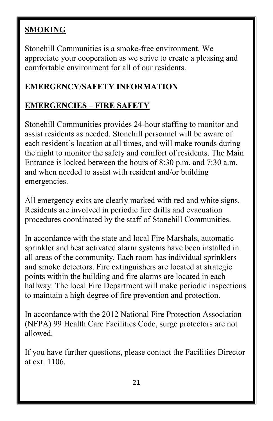## **SMOKING**

Stonehill Communities is a smoke-free environment. We appreciate your cooperation as we strive to create a pleasing and comfortable environment for all of our residents.

## **EMERGENCY/SAFETY INFORMATION**

## **EMERGENCIES – FIRE SAFETY**

Stonehill Communities provides 24-hour staffing to monitor and assist residents as needed. Stonehill personnel will be aware of each resident's location at all times, and will make rounds during the night to monitor the safety and comfort of residents. The Main Entrance is locked between the hours of 8:30 p.m. and 7:30 a.m. and when needed to assist with resident and/or building emergencies.

All emergency exits are clearly marked with red and white signs. Residents are involved in periodic fire drills and evacuation procedures coordinated by the staff of Stonehill Communities.

In accordance with the state and local Fire Marshals, automatic sprinkler and heat activated alarm systems have been installed in all areas of the community. Each room has individual sprinklers and smoke detectors. Fire extinguishers are located at strategic points within the building and fire alarms are located in each hallway. The local Fire Department will make periodic inspections to maintain a high degree of fire prevention and protection.

In accordance with the 2012 National Fire Protection Association (NFPA) 99 Health Care Facilities Code, surge protectors are not allowed.

If you have further questions, please contact the Facilities Director at ext. 1106.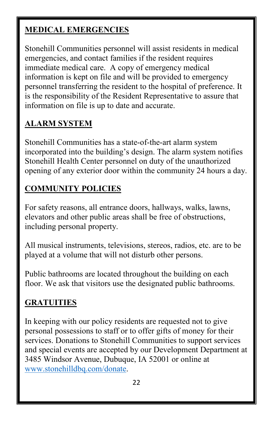## **MEDICAL EMERGENCIES**

Stonehill Communities personnel will assist residents in medical emergencies, and contact families if the resident requires immediate medical care. A copy of emergency medical information is kept on file and will be provided to emergency personnel transferring the resident to the hospital of preference. It is the responsibility of the Resident Representative to assure that information on file is up to date and accurate.

## **ALARM SYSTEM**

Stonehill Communities has a state-of-the-art alarm system incorporated into the building's design. The alarm system notifies Stonehill Health Center personnel on duty of the unauthorized opening of any exterior door within the community 24 hours a day.

#### **COMMUNITY POLICIES**

For safety reasons, all entrance doors, hallways, walks, lawns, elevators and other public areas shall be free of obstructions, including personal property.

All musical instruments, televisions, stereos, radios, etc. are to be played at a volume that will not disturb other persons.

Public bathrooms are located throughout the building on each floor. We ask that visitors use the designated public bathrooms.

## **GRATUITIES**

In keeping with our policy residents are requested not to give personal possessions to staff or to offer gifts of money for their services. Donations to Stonehill Communities to support services and special events are accepted by our Development Department at 3485 Windsor Avenue, Dubuque, IA 52001 or online at [www.stonehilldbq.com/donate.](http://www.stonehilldbq.com/donate)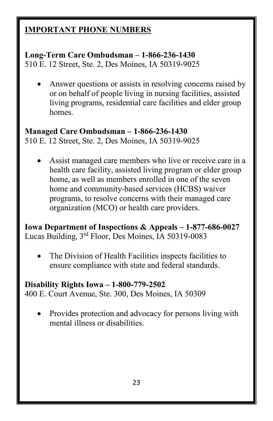#### **IMPORTANT PHONE NUMBERS**

#### **Long-Term Care Ombudsman – 1-866-236-1430**

510 E. 12 Street, Ste. 2, Des Moines, IA 50319-9025

• Answer questions or assists in resolving concerns raised by or on behalf of people living in nursing facilities, assisted living programs, residential care facilities and elder group homes.

## **Managed Care Ombudsman – 1-866-236-1430**

510 E. 12 Street, Ste. 2, Des Moines, IA 50319-9025

Assist managed care members who live or receive care in a health care facility, assisted living program or elder group home, as well as members enrolled in one of the seven home and community-based services (HCBS) waiver programs, to resolve concerns with their managed care organization (MCO) or health care providers.

**Iowa Department of Inspections & Appeals – 1-877-686-0027** Lucas Building, 3rd Floor, Des Moines, IA 50319-0083

The Division of Health Facilities inspects facilities to ensure compliance with state and federal standards.

#### **Disability Rights Iowa – 1-800-779-2502**

400 E. Court Avenue, Ste. 300, Des Moines, IA 50309

• Provides protection and advocacy for persons living with mental illness or disabilities.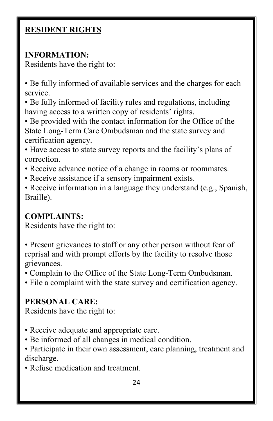#### **RESIDENT RIGHTS**

#### **INFORMATION:**

Residents have the right to:

• Be fully informed of available services and the charges for each service.

• Be fully informed of facility rules and regulations, including having access to a written copy of residents' rights.

• Be provided with the contact information for the Office of the State Long-Term Care Ombudsman and the state survey and certification agency.

• Have access to state survey reports and the facility's plans of correction.

• Receive advance notice of a change in rooms or roommates.

• Receive assistance if a sensory impairment exists.

• Receive information in a language they understand (e.g., Spanish, Braille).

## **COMPLAINTS:**

Residents have the right to:

• Present grievances to staff or any other person without fear of reprisal and with prompt efforts by the facility to resolve those grievances.

• Complain to the Office of the State Long-Term Ombudsman.

• File a complaint with the state survey and certification agency.

## **PERSONAL CARE:**

Residents have the right to:

- Receive adequate and appropriate care.
- Be informed of all changes in medical condition.
- Participate in their own assessment, care planning, treatment and discharge.
- Refuse medication and treatment.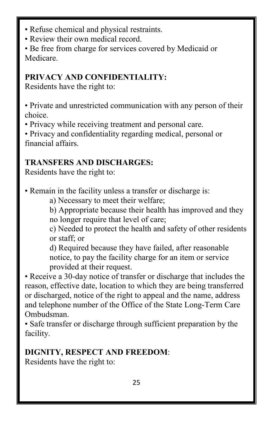- Refuse chemical and physical restraints.
- Review their own medical record.

• Be free from charge for services covered by Medicaid or Medicare.

## **PRIVACY AND CONFIDENTIALITY:**

Residents have the right to:

• Private and unrestricted communication with any person of their choice.

• Privacy while receiving treatment and personal care.

• Privacy and confidentiality regarding medical, personal or financial affairs.

## **TRANSFERS AND DISCHARGES:**

Residents have the right to:

• Remain in the facility unless a transfer or discharge is:

a) Necessary to meet their welfare;

b) Appropriate because their health has improved and they no longer require that level of care;

c) Needed to protect the health and safety of other residents or staff; or

d) Required because they have failed, after reasonable notice, to pay the facility charge for an item or service provided at their request.

• Receive a 30-day notice of transfer or discharge that includes the reason, effective date, location to which they are being transferred or discharged, notice of the right to appeal and the name, address and telephone number of the Office of the State Long-Term Care Ombudsman.

• Safe transfer or discharge through sufficient preparation by the facility.

## **DIGNITY, RESPECT AND FREEDOM**:

Residents have the right to: